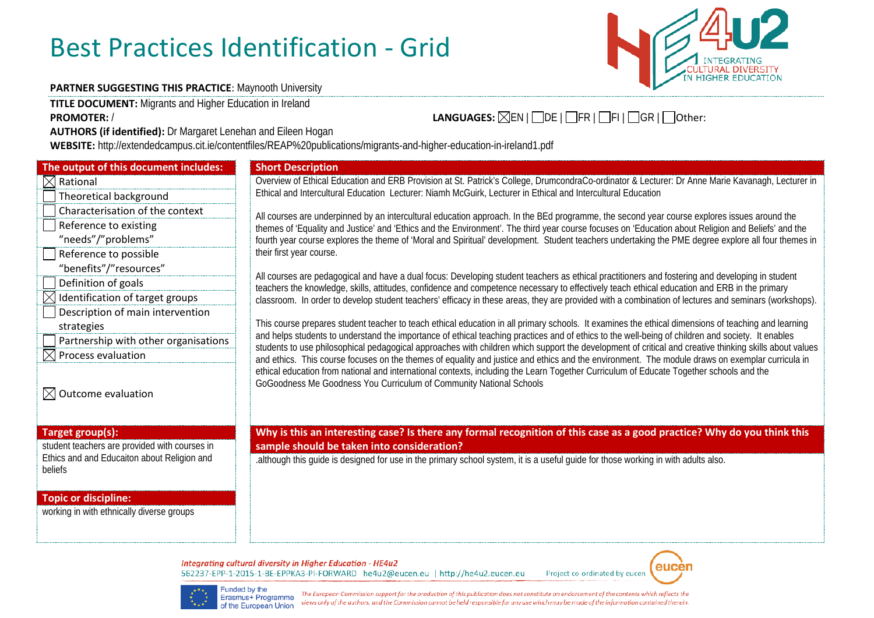## Best Practices Identification - Grid



## **PARTNER SUGGESTING THIS PRACTICE: Maynooth University**

**TITLE DOCUMENT:** Migrants and Higher Education in Ireland

**AUTHORS (if identified):** Dr Margaret Lenehan and Eileen Hogan

**WEBSITE:** http://extendedcampus.cit.ie/contentfiles/REAP%20publications/migrants-and-higher-education-in-ireland1.pdf

| The output of this document includes:                                                                   | <b>Short Description</b>                                                                                                                                                |
|---------------------------------------------------------------------------------------------------------|-------------------------------------------------------------------------------------------------------------------------------------------------------------------------|
| Rational                                                                                                | Overview of Ethical Education and ERB Provision at St.                                                                                                                  |
| Theoretical background                                                                                  | Ethical and Intercultural Education Lecturer: Niamh Mc                                                                                                                  |
| Characterisation of the context                                                                         | All courses are underpinned by an intercultural education                                                                                                               |
| Reference to existing                                                                                   | themes of 'Equality and Justice' and 'Ethics and the Env                                                                                                                |
| "needs"/"problems"                                                                                      | fourth year course explores the theme of 'Moral and Sp                                                                                                                  |
| Reference to possible                                                                                   | their first year course.                                                                                                                                                |
| "benefits"/"resources"                                                                                  |                                                                                                                                                                         |
| Definition of goals                                                                                     | All courses are pedagogical and have a dual focus: Dev                                                                                                                  |
| Identification of target groups                                                                         | teachers the knowledge, skills, attitudes, confidence an<br>classroom. In order to develop student teachers' effica                                                     |
| Description of main intervention                                                                        |                                                                                                                                                                         |
| strategies                                                                                              | This course prepares student teacher to teach ethical e                                                                                                                 |
| Partnership with other organisations                                                                    | and helps students to understand the importance of eth<br>students to use philosophical pedagogical approaches<br>and ethics. This course focuses on the themes of equa |
| Process evaluation                                                                                      |                                                                                                                                                                         |
| Outcome evaluation                                                                                      | ethical education from national and international contex<br>GoGoodness Me Goodness You Curriculum of Commu                                                              |
| Target group(s):                                                                                        | Why is this an interesting case? Is there any                                                                                                                           |
| student teachers are provided with courses in<br>Ethics and and Educaiton about Religion and<br>beliefs | sample should be taken into consideration?<br>although this guide is designed for use in the primary s.                                                                 |
|                                                                                                         |                                                                                                                                                                         |

## **Topic or discipline:**

working in with ethnically diverse groups

ew of Ethical Education and ERB Provision at St. Patrick's College, DrumcondraCo-ordinator & Lecturer: Dr Anne Marie Kavanagh, Lecturer in and Intercultural Education Lecturer: Niamh McGuirk, Lecturer in Ethical and Intercultural Education

ses are underpinned by an intercultural education approach. In the BEd programme, the second year course explores issues around the of 'Equality and Justice' and 'Ethics and the Environment'. The third year course focuses on 'Education about Religion and Beliefs' and the rear course explores the theme of 'Moral and Spiritual' development. Student teachers undertaking the PME degree explore all four themes in st year course.

ses are pedagogical and have a dual focus: Developing student teachers as ethical practitioners and fostering and developing in student s the knowledge, skills, attitudes, confidence and competence necessary to effectively teach ethical education and ERB in the primary om. In order to develop student teachers' efficacy in these areas, they are provided with a combination of lectures and seminars (workshops).

urse prepares student teacher to teach ethical education in all primary schools. It examines the ethical dimensions of teaching and learning ps students to understand the importance of ethical teaching practices and of ethics to the well-being of children and society. It enables s to use philosophical pedagogical approaches with children which support the development of critical and creative thinking skills about values ics. This course focuses on the themes of equality and justice and ethics and the environment. The module draws on exemplar curricula in education from national and international contexts, including the Learn Together Curriculum of Educate Together schools and the dness Me Goodness You Curriculum of Community National Schools

**Target group(s): Why is this an interesting case? Is there any formal recognition of this case as a good practice? Why do you think this**

Ethics and and Educaiton about Religion and<br>beliefs ... although this guide is designed for use in the primary school system, it is a useful guide for those working in with adults also.

Integrating cultural diversity in Higher Education - HE4u2 562237-EPP-1-2015-1-BE-EPPKA3-PI-FORWARD he4u2@eucen.eu | http://he4u2.eucen.eu



Project co-ordinated by eucen



The European Commission support for the production of this publication does not constitute an endorsement of the contents which reflects the views only of the authors, and the Commission cannot be held responsible for any use which may be made of the information contained therein.